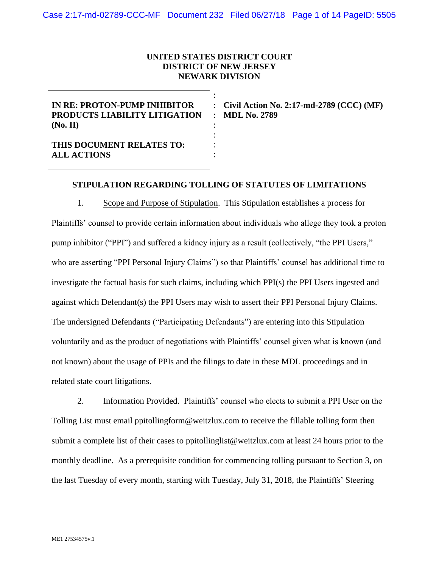## **UNITED STATES DISTRICT COURT DISTRICT OF NEW JERSEY NEWARK DIVISION**

: : : : : : :

**IN RE: PROTON-PUMP INHIBITOR PRODUCTS LIABILITY LITIGATION (No. II)**

**Civil Action No. 2:17-md-2789 (CCC) (MF) MDL No. 2789**

**THIS DOCUMENT RELATES TO: ALL ACTIONS**

### **STIPULATION REGARDING TOLLING OF STATUTES OF LIMITATIONS**

1. Scope and Purpose of Stipulation. This Stipulation establishes a process for Plaintiffs' counsel to provide certain information about individuals who allege they took a proton pump inhibitor ("PPI") and suffered a kidney injury as a result (collectively, "the PPI Users," who are asserting "PPI Personal Injury Claims") so that Plaintiffs' counsel has additional time to investigate the factual basis for such claims, including which PPI(s) the PPI Users ingested and against which Defendant(s) the PPI Users may wish to assert their PPI Personal Injury Claims. The undersigned Defendants ("Participating Defendants") are entering into this Stipulation voluntarily and as the product of negotiations with Plaintiffs' counsel given what is known (and not known) about the usage of PPIs and the filings to date in these MDL proceedings and in related state court litigations.

2. Information Provided. Plaintiffs' counsel who elects to submit a PPI User on the Tolling List must email [ppitollingform@weitzlux.com](mailto:ppitollingform@weitzlux.com) to receive the fillable tolling form then submit a complete list of their cases to [ppitollinglist@weitzlux.com](mailto:ppitollinglist@weitzlux.com) at least 24 hours prior to the monthly deadline. As a prerequisite condition for commencing tolling pursuant to Section [3,](#page-2-0) on the last Tuesday of every month, starting with Tuesday, July 31, 2018, the Plaintiffs' Steering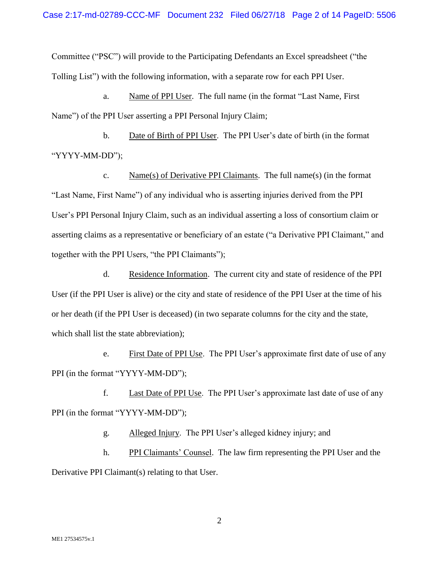Committee ("PSC") will provide to the Participating Defendants an Excel spreadsheet ("the Tolling List") with the following information, with a separate row for each PPI User.

a. Name of PPI User. The full name (in the format "Last Name, First Name") of the PPI User asserting a PPI Personal Injury Claim;

b. Date of Birth of PPI User. The PPI User's date of birth (in the format "YYYY-MM-DD");

c. Name(s) of Derivative PPI Claimants. The full name(s) (in the format "Last Name, First Name") of any individual who is asserting injuries derived from the PPI User's PPI Personal Injury Claim, such as an individual asserting a loss of consortium claim or asserting claims as a representative or beneficiary of an estate ("a Derivative PPI Claimant," and together with the PPI Users, "the PPI Claimants");

d. Residence Information. The current city and state of residence of the PPI User (if the PPI User is alive) or the city and state of residence of the PPI User at the time of his or her death (if the PPI User is deceased) (in two separate columns for the city and the state, which shall list the state abbreviation);

e. First Date of PPI Use. The PPI User's approximate first date of use of any PPI (in the format "YYYY-MM-DD");

f. Last Date of PPI Use. The PPI User's approximate last date of use of any PPI (in the format "YYYY-MM-DD");

g. Alleged Injury. The PPI User's alleged kidney injury; and

h. PPI Claimants' Counsel. The law firm representing the PPI User and the Derivative PPI Claimant(s) relating to that User.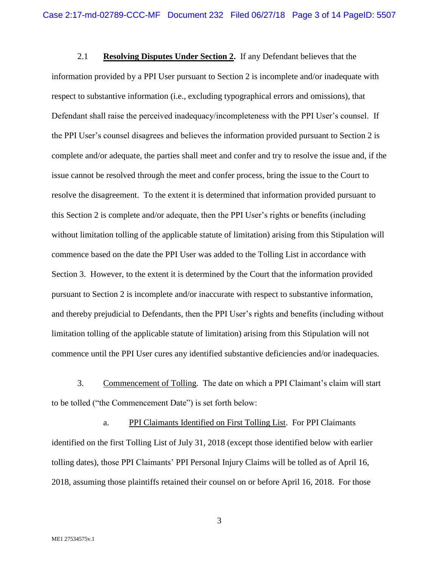2.1 **Resolving Disputes Under Section 2.** If any Defendant believes that the information provided by a PPI User pursuant to Section 2 is incomplete and/or inadequate with respect to substantive information (i.e., excluding typographical errors and omissions), that Defendant shall raise the perceived inadequacy/incompleteness with the PPI User's counsel. If the PPI User's counsel disagrees and believes the information provided pursuant to Section 2 is complete and/or adequate, the parties shall meet and confer and try to resolve the issue and, if the issue cannot be resolved through the meet and confer process, bring the issue to the Court to resolve the disagreement. To the extent it is determined that information provided pursuant to this Section 2 is complete and/or adequate, then the PPI User's rights or benefits (including without limitation tolling of the applicable statute of limitation) arising from this Stipulation will commence based on the date the PPI User was added to the Tolling List in accordance with Section 3. However, to the extent it is determined by the Court that the information provided pursuant to Section 2 is incomplete and/or inaccurate with respect to substantive information, and thereby prejudicial to Defendants, then the PPI User's rights and benefits (including without limitation tolling of the applicable statute of limitation) arising from this Stipulation will not commence until the PPI User cures any identified substantive deficiencies and/or inadequacies.

<span id="page-2-0"></span>3. Commencement of Tolling. The date on which a PPI Claimant's claim will start to be tolled ("the Commencement Date") is set forth below:

a. PPI Claimants Identified on First Tolling List. For PPI Claimants identified on the first Tolling List of July 31, 2018 (except those identified below with earlier tolling dates), those PPI Claimants' PPI Personal Injury Claims will be tolled as of April 16, 2018, assuming those plaintiffs retained their counsel on or before April 16, 2018. For those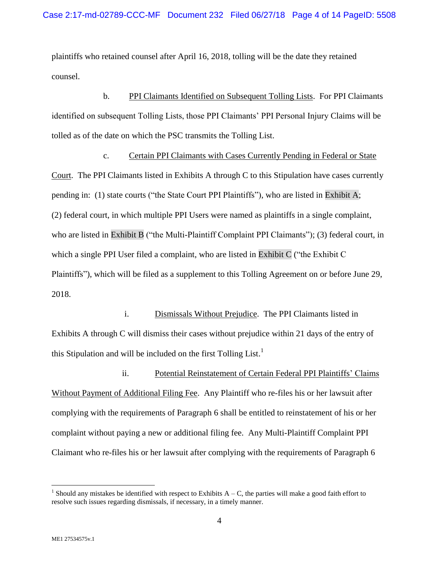plaintiffs who retained counsel after April 16, 2018, tolling will be the date they retained counsel.

b. PPI Claimants Identified on Subsequent Tolling Lists. For PPI Claimants identified on subsequent Tolling Lists, those PPI Claimants' PPI Personal Injury Claims will be tolled as of the date on which the PSC transmits the Tolling List.

c. Certain PPI Claimants with Cases Currently Pending in Federal or State Court. The PPI Claimants listed in Exhibits A through C to this Stipulation have cases currently pending in: (1) state courts ("the State Court PPI Plaintiffs"), who are listed in Exhibit A; (2) federal court, in which multiple PPI Users were named as plaintiffs in a single complaint, who are listed in Exhibit B ("the Multi-Plaintiff Complaint PPI Claimants"); (3) federal court, in which a single PPI User filed a complaint, who are listed in Exhibit C ("the Exhibit C Plaintiffs"), which will be filed as a supplement to this Tolling Agreement on or before June 29, 2018.

i. Dismissals Without Prejudice. The PPI Claimants listed in Exhibits A through C will dismiss their cases without prejudice within 21 days of the entry of this Stipulation and will be included on the first Tolling List.<sup>1</sup>

ii. Potential Reinstatement of Certain Federal PPI Plaintiffs' Claims Without Payment of Additional Filing Fee. Any Plaintiff who re-files his or her lawsuit after complying with the requirements of Paragraph [6](#page-5-0) shall be entitled to reinstatement of his or her complaint without paying a new or additional filing fee. Any Multi-Plaintiff Complaint PPI Claimant who re-files his or her lawsuit after complying with the requirements of Paragraph [6](#page-5-0)

 $\overline{a}$ 

<sup>&</sup>lt;sup>1</sup> Should any mistakes be identified with respect to Exhibits  $A - C$ , the parties will make a good faith effort to resolve such issues regarding dismissals, if necessary, in a timely manner.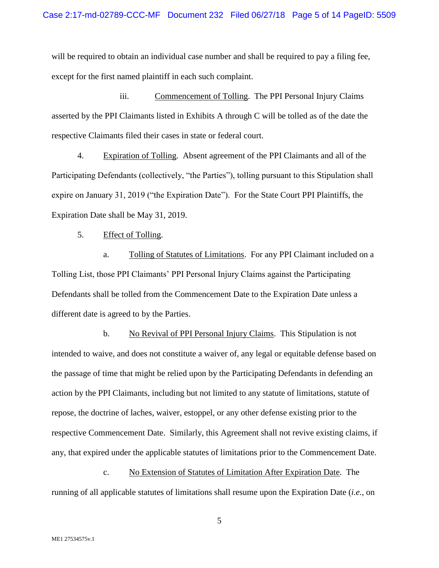will be required to obtain an individual case number and shall be required to pay a filing fee, except for the first named plaintiff in each such complaint.

iii. Commencement of Tolling. The PPI Personal Injury Claims asserted by the PPI Claimants listed in Exhibits A through C will be tolled as of the date the respective Claimants filed their cases in state or federal court.

4. Expiration of Tolling. Absent agreement of the PPI Claimants and all of the Participating Defendants (collectively, "the Parties"), tolling pursuant to this Stipulation shall expire on January 31, 2019 ("the Expiration Date"). For the State Court PPI Plaintiffs, the Expiration Date shall be May 31, 2019.

5. Effect of Tolling.

a. Tolling of Statutes of Limitations. For any PPI Claimant included on a Tolling List, those PPI Claimants' PPI Personal Injury Claims against the Participating Defendants shall be tolled from the Commencement Date to the Expiration Date unless a different date is agreed to by the Parties.

b. No Revival of PPI Personal Injury Claims. This Stipulation is not intended to waive, and does not constitute a waiver of, any legal or equitable defense based on the passage of time that might be relied upon by the Participating Defendants in defending an action by the PPI Claimants, including but not limited to any statute of limitations, statute of repose, the doctrine of laches, waiver, estoppel, or any other defense existing prior to the respective Commencement Date. Similarly, this Agreement shall not revive existing claims, if any, that expired under the applicable statutes of limitations prior to the Commencement Date.

c. No Extension of Statutes of Limitation After Expiration Date. The running of all applicable statutes of limitations shall resume upon the Expiration Date (*i.e.*, on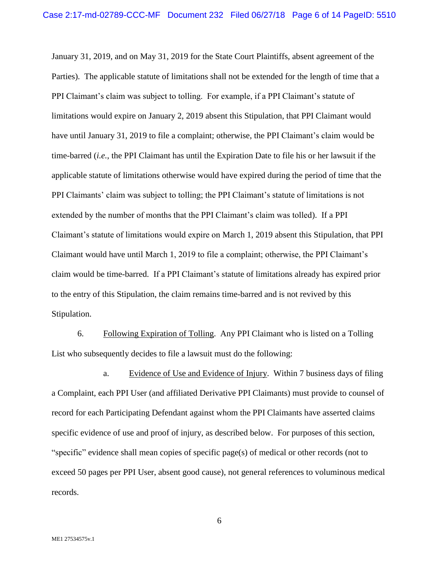January 31, 2019, and on May 31, 2019 for the State Court Plaintiffs, absent agreement of the Parties). The applicable statute of limitations shall not be extended for the length of time that a PPI Claimant's claim was subject to tolling. For example, if a PPI Claimant's statute of limitations would expire on January 2, 2019 absent this Stipulation, that PPI Claimant would have until January 31, 2019 to file a complaint; otherwise, the PPI Claimant's claim would be time-barred (*i.e.*, the PPI Claimant has until the Expiration Date to file his or her lawsuit if the applicable statute of limitations otherwise would have expired during the period of time that the PPI Claimants' claim was subject to tolling; the PPI Claimant's statute of limitations is not extended by the number of months that the PPI Claimant's claim was tolled). If a PPI Claimant's statute of limitations would expire on March 1, 2019 absent this Stipulation, that PPI Claimant would have until March 1, 2019 to file a complaint; otherwise, the PPI Claimant's claim would be time-barred. If a PPI Claimant's statute of limitations already has expired prior to the entry of this Stipulation, the claim remains time-barred and is not revived by this Stipulation.

<span id="page-5-0"></span>6. Following Expiration of Tolling. Any PPI Claimant who is listed on a Tolling List who subsequently decides to file a lawsuit must do the following:

<span id="page-5-1"></span>a. Evidence of Use and Evidence of Injury. Within 7 business days of filing a Complaint, each PPI User (and affiliated Derivative PPI Claimants) must provide to counsel of record for each Participating Defendant against whom the PPI Claimants have asserted claims specific evidence of use and proof of injury, as described below. For purposes of this section, "specific" evidence shall mean copies of specific page(s) of medical or other records (not to exceed 50 pages per PPI User, absent good cause), not general references to voluminous medical records.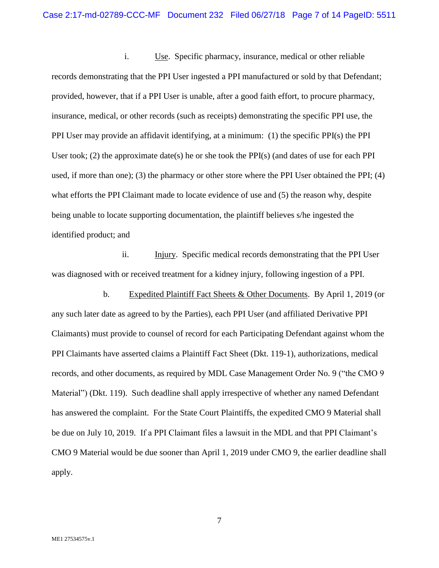i. Use. Specific pharmacy, insurance, medical or other reliable records demonstrating that the PPI User ingested a PPI manufactured or sold by that Defendant; provided, however, that if a PPI User is unable, after a good faith effort, to procure pharmacy, insurance, medical, or other records (such as receipts) demonstrating the specific PPI use, the PPI User may provide an affidavit identifying, at a minimum: (1) the specific PPI(s) the PPI User took; (2) the approximate date(s) he or she took the PPI(s) (and dates of use for each PPI used, if more than one); (3) the pharmacy or other store where the PPI User obtained the PPI; (4) what efforts the PPI Claimant made to locate evidence of use and (5) the reason why, despite being unable to locate supporting documentation, the plaintiff believes s/he ingested the identified product; and

ii. Injury. Specific medical records demonstrating that the PPI User was diagnosed with or received treatment for a kidney injury, following ingestion of a PPI.

b. Expedited Plaintiff Fact Sheets & Other Documents. By April 1, 2019 (or any such later date as agreed to by the Parties), each PPI User (and affiliated Derivative PPI Claimants) must provide to counsel of record for each Participating Defendant against whom the PPI Claimants have asserted claims a Plaintiff Fact Sheet (Dkt. 119-1), authorizations, medical records, and other documents, as required by MDL Case Management Order No. 9 ("the CMO 9 Material") (Dkt. 119). Such deadline shall apply irrespective of whether any named Defendant has answered the complaint. For the State Court Plaintiffs, the expedited CMO 9 Material shall be due on July 10, 2019. If a PPI Claimant files a lawsuit in the MDL and that PPI Claimant's CMO 9 Material would be due sooner than April 1, 2019 under CMO 9, the earlier deadline shall apply.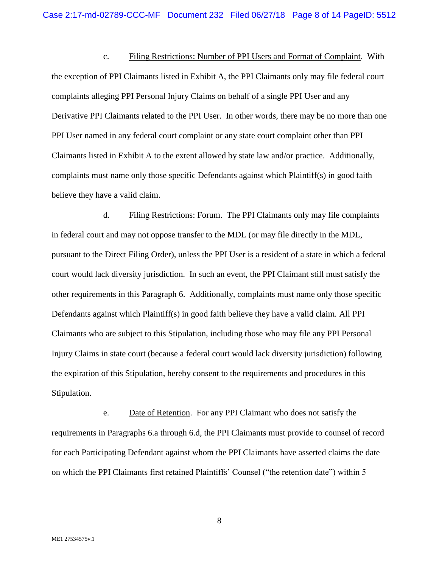c. Filing Restrictions: Number of PPI Users and Format of Complaint. With the exception of PPI Claimants listed in Exhibit A, the PPI Claimants only may file federal court complaints alleging PPI Personal Injury Claims on behalf of a single PPI User and any Derivative PPI Claimants related to the PPI User. In other words, there may be no more than one PPI User named in any federal court complaint or any state court complaint other than PPI Claimants listed in Exhibit A to the extent allowed by state law and/or practice. Additionally, complaints must name only those specific Defendants against which Plaintiff(s) in good faith believe they have a valid claim.

<span id="page-7-0"></span>d. Filing Restrictions: Forum. The PPI Claimants only may file complaints in federal court and may not oppose transfer to the MDL (or may file directly in the MDL, pursuant to the Direct Filing Order), unless the PPI User is a resident of a state in which a federal court would lack diversity jurisdiction. In such an event, the PPI Claimant still must satisfy the other requirements in this Paragraph 6. Additionally, complaints must name only those specific Defendants against which Plaintiff(s) in good faith believe they have a valid claim. All PPI Claimants who are subject to this Stipulation, including those who may file any PPI Personal Injury Claims in state court (because a federal court would lack diversity jurisdiction) following the expiration of this Stipulation, hereby consent to the requirements and procedures in this Stipulation.

e. Date of Retention. For any PPI Claimant who does not satisfy the requirements in Paragraphs [6.a](#page-5-1) through [6.d,](#page-7-0) the PPI Claimants must provide to counsel of record for each Participating Defendant against whom the PPI Claimants have asserted claims the date on which the PPI Claimants first retained Plaintiffs' Counsel ("the retention date") within 5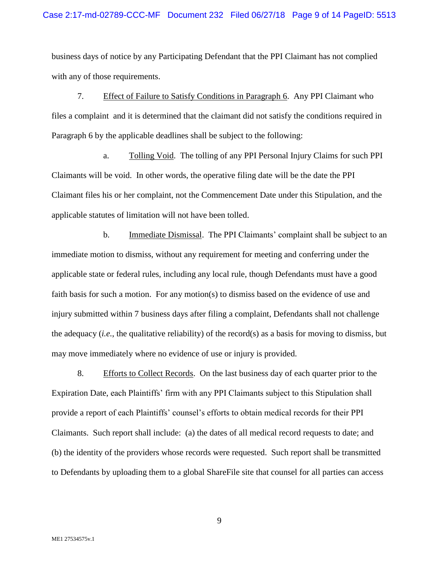### Case 2:17-md-02789-CCC-MF Document 232 Filed 06/27/18 Page 9 of 14 PageID: 5513

business days of notice by any Participating Defendant that the PPI Claimant has not complied with any of those requirements.

7. Effect of Failure to Satisfy Conditions in Paragraph [6.](#page-5-0) Any PPI Claimant who files a complaint and it is determined that the claimant did not satisfy the conditions required in Paragraph [6](#page-5-0) by the applicable deadlines shall be subject to the following:

a. Tolling Void. The tolling of any PPI Personal Injury Claims for such PPI Claimants will be void. In other words, the operative filing date will be the date the PPI Claimant files his or her complaint, not the Commencement Date under this Stipulation, and the applicable statutes of limitation will not have been tolled.

b. Immediate Dismissal. The PPI Claimants' complaint shall be subject to an immediate motion to dismiss, without any requirement for meeting and conferring under the applicable state or federal rules, including any local rule, though Defendants must have a good faith basis for such a motion. For any motion(s) to dismiss based on the evidence of use and injury submitted within 7 business days after filing a complaint, Defendants shall not challenge the adequacy (*i.e.*, the qualitative reliability) of the record(s) as a basis for moving to dismiss, but may move immediately where no evidence of use or injury is provided.

8. Efforts to Collect Records. On the last business day of each quarter prior to the Expiration Date, each Plaintiffs' firm with any PPI Claimants subject to this Stipulation shall provide a report of each Plaintiffs' counsel's efforts to obtain medical records for their PPI Claimants. Such report shall include: (a) the dates of all medical record requests to date; and (b) the identity of the providers whose records were requested. Such report shall be transmitted to Defendants by uploading them to a global ShareFile site that counsel for all parties can access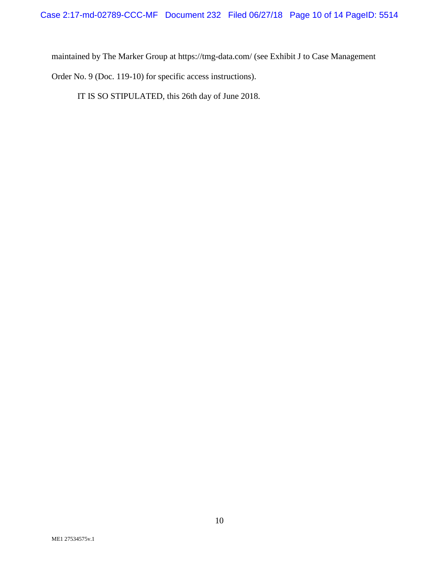maintained by The Marker Group at<https://tmg-data.com/> (see Exhibit J to Case Management

Order No. 9 (Doc. 119-10) for specific access instructions).

IT IS SO STIPULATED, this 26th day of June 2018.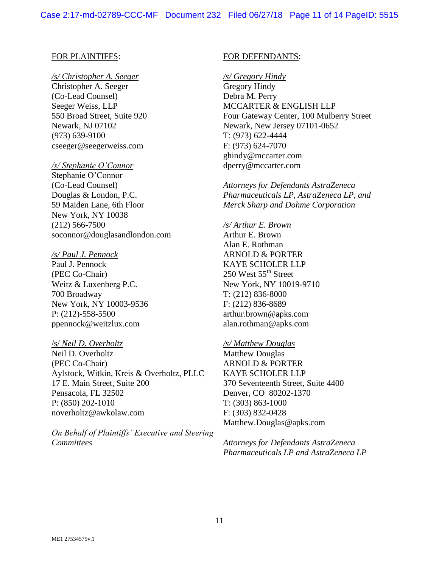### FOR PLAINTIFFS:

#### */s/ Christopher A. Seeger*

Christopher A. Seeger (Co-Lead Counsel) Seeger Weiss, LLP 550 Broad Street, Suite 920 Newark, NJ 07102 (973) 639-9100 cseeger@seegerweiss.com

#### */s/ Stephanie O'Connor*

Stephanie O'Connor (Co-Lead Counsel) Douglas & London, P.C. 59 Maiden Lane, 6th Floor New York, NY 10038 (212) 566-7500 soconnor@douglasandlondon.com

#### */s/ Paul J. Pennock*

Paul J. Pennock (PEC Co-Chair) Weitz & Luxenberg P.C. 700 Broadway New York, NY 10003-9536 P: (212)-558-5500 [ppennock@weitzlux.com](mailto:ppennock@weitzlux.com)

### /s/ *Neil D. Overholtz*

Neil D. Overholtz (PEC Co-Chair) Aylstock, Witkin, Kreis & Overholtz, PLLC 17 E. Main Street, Suite 200 Pensacola, FL 32502 P: (850) 202-1010 [noverholtz@awkolaw.com](mailto:noverholtz@awkolaw.com)

*On Behalf of Plaintiffs' Executive and Steering Committees*

#### FOR DEFENDANTS:

*/s/ Gregory Hindy* Gregory Hindy Debra M. Perry MCCARTER & ENGLISH LLP Four Gateway Center, 100 Mulberry Street Newark, New Jersey 07101-0652 T: (973) 622-4444 F: (973) 624-7070 [ghindy@mccarter.com](mailto:ghindy@mccarter.com) [dperry@mccarter.com](mailto:dperry@mccarter.com)

*Attorneys for Defendants AstraZeneca Pharmaceuticals LP, AstraZeneca LP, and Merck Sharp and Dohme Corporation*

*/s/ Arthur E. Brown* Arthur E. Brown Alan E. Rothman ARNOLD & PORTER KAYE SCHOLER LLP 250 West  $55<sup>th</sup>$  Street New York, NY 10019-9710 T: (212) 836-8000 F: (212) 836-8689 [arthur.brown@apks.com](mailto:arthur.brown@apks.com) [alan.rothman@apks.com](mailto:alan.rothman@apks.com)

### */s/ Matthew Douglas*

Matthew Douglas ARNOLD & PORTER KAYE SCHOLER LLP 370 Seventeenth Street, Suite 4400 Denver, CO 80202-1370 T: (303) 863-1000 F: (303) 832-0428 [Matthew.Douglas@apks.com](mailto:Matthew.Douglas@apks.com)

*Attorneys for Defendants AstraZeneca Pharmaceuticals LP and AstraZeneca LP*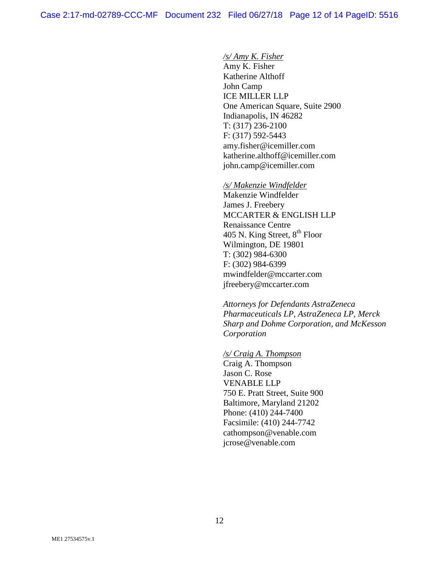## */s/ Amy K. Fisher*

Amy K. Fisher Katherine Althoff John Camp ICE MILLER LLP One American Square, Suite 2900 Indianapolis, IN 46282 T: (317) 236-2100 F: (317) 592-5443 [amy.fisher@icemiller.com](mailto:amy.fisher@icemiller.com) [katherine.althoff@icemiller.com](mailto:katherine.althoff@icemiller.com) john.camp@icemiller.com

#### */s/ Makenzie Windfelder*

Makenzie Windfelder James J. Freebery MCCARTER & ENGLISH LLP Renaissance Centre 405 N. King Street,  $8^{\rm th}$  Floor Wilmington, DE 19801 T: (302) 984-6300 F: (302) 984-6399 [mwindfelder@mccarter.com](mailto:mwindfelder@mccarter.com) [jfreebery@mccarter.com](mailto:jfreebery@mccarter.com)

*Attorneys for Defendants AstraZeneca Pharmaceuticals LP, AstraZeneca LP, Merck Sharp and Dohme Corporation, and McKesson Corporation*

### */s/ Craig A. Thompson* Craig A. Thompson

Jason C. Rose VENABLE LLP 750 E. Pratt Street, Suite 900 Baltimore, Maryland 21202 Phone: (410) 244-7400 Facsimile: (410) 244-7742 [cathompson@venable.com](mailto:cathompson@venable.com) [jcrose@venable.com](mailto:jcrose@venable.com)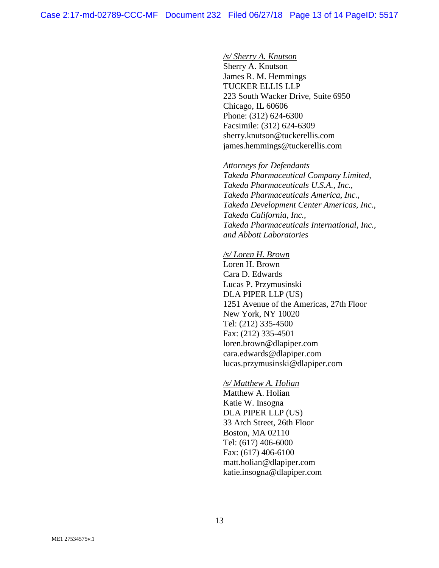## */s/ Sherry A. Knutson*

Sherry A. Knutson James R. M. Hemmings TUCKER ELLIS LLP 223 South Wacker Drive, Suite 6950 Chicago, IL 60606 Phone: (312) 624-6300 Facsimile: (312) 624-6309 [sherry.knutson@tuckerellis.com](mailto:sherry.knutson@tuckerellis.com) [james.hemmings@tuckerellis.com](mailto:james.hemmings@tuckerellis.com)

*Attorneys for Defendants Takeda Pharmaceutical Company Limited, Takeda Pharmaceuticals U.S.A., Inc., Takeda Pharmaceuticals America, Inc., Takeda Development Center Americas, Inc., Takeda California, Inc., Takeda Pharmaceuticals International, Inc., and Abbott Laboratories*

### */s/ Loren H. Brown*

Loren H. Brown Cara D. Edwards Lucas P. Przymusinski DLA PIPER LLP (US) 1251 Avenue of the Americas, 27th Floor New York, NY 10020 Tel: (212) 335-4500 Fax: (212) 335-4501 [loren.brown@dlapiper.com](mailto:loren.brown@dlapiper.com) [cara.edwards@dlapiper.com](mailto:cara.edwards@dlapiper.com) [lucas.przymusinski@dlapiper.com](mailto:lucas.przymusinski@dlapiper.com)

## */s/ Matthew A. Holian*

Matthew A. Holian Katie W. Insogna DLA PIPER LLP (US) 33 Arch Street, 26th Floor Boston, MA 02110 Tel: (617) 406-6000 Fax: (617) 406-6100 [matt.holian@dlapiper.com](mailto:matt.holian@dlapiper.com) [katie.insogna@dlapiper.com](mailto:katie.insogna@dlapiper.com)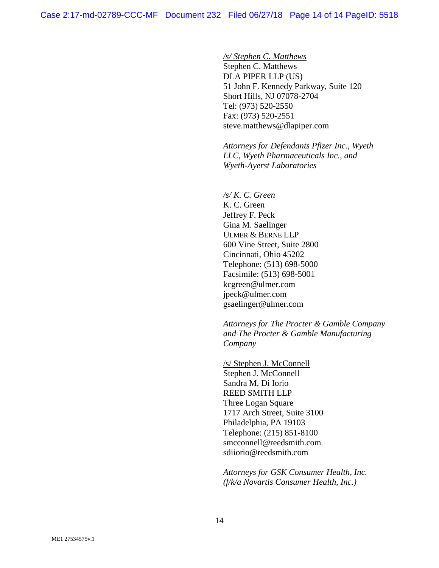*/s/ Stephen C. Matthews*

Stephen C. Matthews DLA PIPER LLP (US) 51 John F. Kennedy Parkway, Suite 120 Short Hills, NJ 07078-2704 Tel: (973) 520-2550 Fax: (973) 520-2551 [steve.matthews@dlapiper.com](mailto:steve.matthews@dlapiper.com)

*Attorneys for Defendants Pfizer Inc., Wyeth LLC, Wyeth Pharmaceuticals Inc., and Wyeth-Ayerst Laboratories*

*/s/ K. C. Green*

K. C. Green Jeffrey F. Peck Gina M. Saelinger ULMER & BERNE LLP 600 Vine Street, Suite 2800 Cincinnati, Ohio 45202 Telephone: (513) 698-5000 Facsimile: (513) 698-5001 [kcgreen@ulmer.com](mailto:kcgreen@ulmer.com) [jpeck@ulmer.com](mailto:jpeck@ulmer.com) [gsaelinger@ulmer.com](mailto:gsaelinger@ulmer.com)

*Attorneys for The Procter & Gamble Company and The Procter & Gamble Manufacturing Company*

/s/ Stephen J. McConnell Stephen J. McConnell Sandra M. Di Iorio REED SMITH LLP Three Logan Square 1717 Arch Street, Suite 3100 Philadelphia, PA 19103 Telephone: (215) 851-8100 [smcconnell@reedsmith.com](mailto:smcconnell@reedsmith.com) sdiiorio@reedsmith.com

*Attorneys for GSK Consumer Health, Inc. (f/k/a Novartis Consumer Health, Inc.)*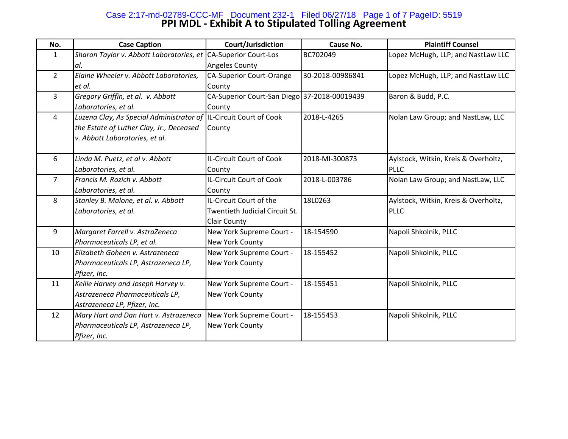# **PPI MDL - Exhibit A to Stipulated Tolling Agreement** Case 2:17-md-02789-CCC-MF Document 232-1 Filed 06/27/18 Page 1 of 7 PageID: 5519

| No.            | <b>Case Caption</b>                      | Court/Jurisdiction                           | Cause No.        | <b>Plaintiff Counsel</b>             |
|----------------|------------------------------------------|----------------------------------------------|------------------|--------------------------------------|
| 1              | Sharon Taylor v. Abbott Laboratories, et | <b>CA-Superior Court-Los</b>                 | BC702049         | Lopez McHugh, LLP; and NastLaw LLC   |
|                | al.                                      | Angeles County                               |                  |                                      |
| $\overline{2}$ | Elaine Wheeler v. Abbott Laboratories,   | <b>CA-Superior Court-Orange</b>              | 30-2018-00986841 | Lopez McHugh, LLP; and NastLaw LLC   |
|                | let al.                                  | County                                       |                  |                                      |
| 3              | Gregory Griffin, et al. v. Abbott        | CA-Superior Court-San Diego 37-2018-00019439 |                  | Baron & Budd, P.C.                   |
|                | Laboratories, et al.                     | County                                       |                  |                                      |
| 4              | Luzena Clay, As Special Administrator of | IL-Circuit Court of Cook                     | 2018-L-4265      | Nolan Law Group; and NastLaw, LLC    |
|                | the Estate of Luther Clay, Jr., Deceased | County                                       |                  |                                      |
|                | v. Abbott Laboratories, et al.           |                                              |                  |                                      |
|                |                                          |                                              |                  |                                      |
| 6              | Linda M. Puetz, et al v. Abbott          | IL-Circuit Court of Cook                     | 2018-MI-300873   | Aylstock, Witkin, Kreis & Overholtz, |
|                | Laboratories, et al.                     | County                                       |                  | <b>PLLC</b>                          |
| $\overline{7}$ | Francis M. Rozich v. Abbott              | IL-Circuit Court of Cook                     | 2018-L-003786    | Nolan Law Group; and NastLaw, LLC    |
|                | Laboratories, et al.                     | County                                       |                  |                                      |
| 8              | Stanley B. Malone, et al. v. Abbott      | IL-Circuit Court of the                      | 18L0263          | Aylstock, Witkin, Kreis & Overholtz, |
|                | Laboratories, et al.                     | Twentieth Judicial Circuit St.               |                  | <b>PLLC</b>                          |
|                |                                          | Clair County                                 |                  |                                      |
| 9              | Margaret Farrell v. AstraZeneca          | New York Supreme Court -                     | 18-154590        | Napoli Shkolnik, PLLC                |
|                | Pharmaceuticals LP, et al.               | New York County                              |                  |                                      |
| 10             | Elizabeth Goheen v. Astrazeneca          | New York Supreme Court -                     | 18-155452        | Napoli Shkolnik, PLLC                |
|                | Pharmaceuticals LP, Astrazeneca LP,      | <b>New York County</b>                       |                  |                                      |
|                | Pfizer, Inc.                             |                                              |                  |                                      |
| 11             | Kellie Harvey and Joseph Harvey v.       | New York Supreme Court -                     | 18-155451        | Napoli Shkolnik, PLLC                |
|                | Astrazeneca Pharmaceuticals LP,          | New York County                              |                  |                                      |
|                | Astrazeneca LP, Pfizer, Inc.             |                                              |                  |                                      |
| 12             | Mary Hart and Dan Hart v. Astrazeneca    | New York Supreme Court -                     | 18-155453        | Napoli Shkolnik, PLLC                |
|                | Pharmaceuticals LP, Astrazeneca LP,      | New York County                              |                  |                                      |
|                | Pfizer, Inc.                             |                                              |                  |                                      |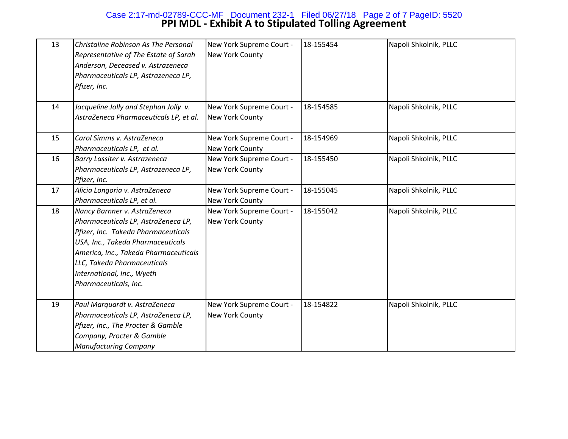# **PPI MDL - Exhibit A to Stipulated Tolling Agreement** Case 2:17-md-02789-CCC-MF Document 232-1 Filed 06/27/18 Page 2 of 7 PageID: 5520

| 13 | Christaline Robinson As The Personal<br>Representative of The Estate of Sarah<br>Anderson, Deceased v. Astrazeneca<br>Pharmaceuticals LP, Astrazeneca LP,<br>Pfizer, Inc.                                                                                                      | New York Supreme Court -<br>New York County | 18-155454 | Napoli Shkolnik, PLLC |
|----|--------------------------------------------------------------------------------------------------------------------------------------------------------------------------------------------------------------------------------------------------------------------------------|---------------------------------------------|-----------|-----------------------|
| 14 | Jacqueline Jolly and Stephan Jolly v.<br>AstraZeneca Pharmaceuticals LP, et al.                                                                                                                                                                                                | New York Supreme Court -<br>New York County | 18-154585 | Napoli Shkolnik, PLLC |
| 15 | Carol Simms v. AstraZeneca<br>Pharmaceuticals LP, et al.                                                                                                                                                                                                                       | New York Supreme Court -<br>New York County | 18-154969 | Napoli Shkolnik, PLLC |
| 16 | Barry Lassiter v. Astrazeneca<br>Pharmaceuticals LP, Astrazeneca LP,<br>Pfizer, Inc.                                                                                                                                                                                           | New York Supreme Court -<br>New York County | 18-155450 | Napoli Shkolnik, PLLC |
| 17 | Alicia Longoria v. AstraZeneca<br>Pharmaceuticals LP, et al.                                                                                                                                                                                                                   | New York Supreme Court -<br>New York County | 18-155045 | Napoli Shkolnik, PLLC |
| 18 | Nancy Barnner v. AstraZeneca<br>Pharmaceuticals LP, AstraZeneca LP,<br>Pfizer, Inc. Takeda Pharmaceuticals<br>USA, Inc., Takeda Pharmaceuticals<br>America, Inc., Takeda Pharmaceuticals<br>LLC, Takeda Pharmaceuticals<br>International, Inc., Wyeth<br>Pharmaceuticals, Inc. | New York Supreme Court -<br>New York County | 18-155042 | Napoli Shkolnik, PLLC |
| 19 | Paul Marquardt v. AstraZeneca<br>Pharmaceuticals LP, AstraZeneca LP,<br>Pfizer, Inc., The Procter & Gamble<br>Company, Procter & Gamble<br><b>Manufacturing Company</b>                                                                                                        | New York Supreme Court -<br>New York County | 18-154822 | Napoli Shkolnik, PLLC |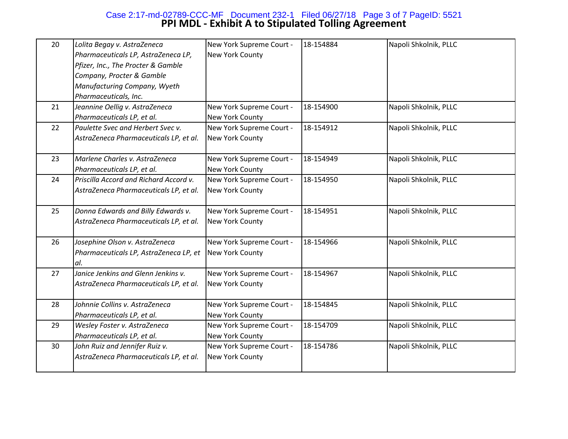# **PPI MDL - Exhibit A to Stipulated Tolling Agreement** Case 2:17-md-02789-CCC-MF Document 232-1 Filed 06/27/18 Page 3 of 7 PageID: 5521

| 20 | Lolita Begay v. AstraZeneca<br>Pharmaceuticals LP, AstraZeneca LP,<br>Pfizer, Inc., The Procter & Gamble<br>Company, Procter & Gamble<br>Manufacturing Company, Wyeth<br>Pharmaceuticals, Inc. | New York Supreme Court -<br>New York County | 18-154884 | Napoli Shkolnik, PLLC |
|----|------------------------------------------------------------------------------------------------------------------------------------------------------------------------------------------------|---------------------------------------------|-----------|-----------------------|
| 21 | Jeannine Oellig v. AstraZeneca<br>Pharmaceuticals LP, et al.                                                                                                                                   | New York Supreme Court -<br>New York County | 18-154900 | Napoli Shkolnik, PLLC |
| 22 | Paulette Svec and Herbert Svec v.<br>AstraZeneca Pharmaceuticals LP, et al.                                                                                                                    | New York Supreme Court -<br>New York County | 18-154912 | Napoli Shkolnik, PLLC |
| 23 | Marlene Charles v. AstraZeneca<br>Pharmaceuticals LP, et al.                                                                                                                                   | New York Supreme Court -<br>New York County | 18-154949 | Napoli Shkolnik, PLLC |
| 24 | Priscilla Accord and Richard Accord v.<br>AstraZeneca Pharmaceuticals LP, et al.                                                                                                               | New York Supreme Court -<br>New York County | 18-154950 | Napoli Shkolnik, PLLC |
| 25 | Donna Edwards and Billy Edwards v.<br>AstraZeneca Pharmaceuticals LP, et al.                                                                                                                   | New York Supreme Court -<br>New York County | 18-154951 | Napoli Shkolnik, PLLC |
| 26 | Josephine Olson v. AstraZeneca<br>Pharmaceuticals LP, AstraZeneca LP, et<br>al.                                                                                                                | New York Supreme Court -<br>New York County | 18-154966 | Napoli Shkolnik, PLLC |
| 27 | Janice Jenkins and Glenn Jenkins v.<br>AstraZeneca Pharmaceuticals LP, et al.                                                                                                                  | New York Supreme Court -<br>New York County | 18-154967 | Napoli Shkolnik, PLLC |
| 28 | Johnnie Collins v. AstraZeneca<br>Pharmaceuticals LP, et al.                                                                                                                                   | New York Supreme Court -<br>New York County | 18-154845 | Napoli Shkolnik, PLLC |
| 29 | Wesley Foster v. AstraZeneca<br>Pharmaceuticals LP, et al.                                                                                                                                     | New York Supreme Court -<br>New York County | 18-154709 | Napoli Shkolnik, PLLC |
| 30 | John Ruiz and Jennifer Ruiz v.<br>AstraZeneca Pharmaceuticals LP, et al.                                                                                                                       | New York Supreme Court -<br>New York County | 18-154786 | Napoli Shkolnik, PLLC |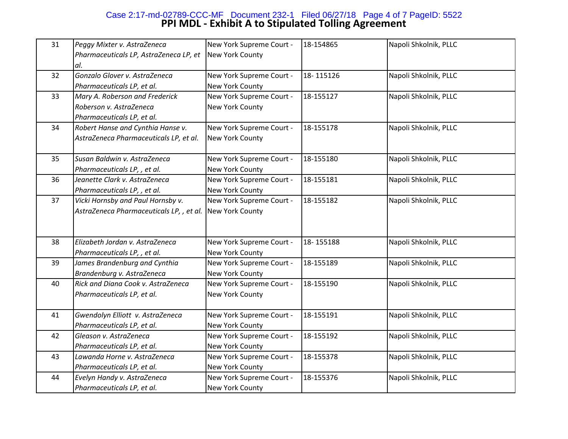# **PPI MDL - Exhibit A to Stipulated Tolling Agreement** Case 2:17-md-02789-CCC-MF Document 232-1 Filed 06/27/18 Page 4 of 7 PageID: 5522

| 31 | Peggy Mixter v. AstraZeneca<br>Pharmaceuticals LP, AstraZeneca LP, et<br>al.            | New York Supreme Court -<br>New York County        | 18-154865 | Napoli Shkolnik, PLLC |
|----|-----------------------------------------------------------------------------------------|----------------------------------------------------|-----------|-----------------------|
| 32 | Gonzalo Glover v. AstraZeneca<br>Pharmaceuticals LP, et al.                             | New York Supreme Court -<br>New York County        | 18-115126 | Napoli Shkolnik, PLLC |
| 33 | Mary A. Roberson and Frederick<br>Roberson v. AstraZeneca<br>Pharmaceuticals LP, et al. | New York Supreme Court -<br>New York County        | 18-155127 | Napoli Shkolnik, PLLC |
| 34 | Robert Hanse and Cynthia Hanse v.<br>AstraZeneca Pharmaceuticals LP, et al.             | New York Supreme Court -<br>New York County        | 18-155178 | Napoli Shkolnik, PLLC |
| 35 | Susan Baldwin v. AstraZeneca<br>Pharmaceuticals LP, , et al.                            | New York Supreme Court -<br><b>New York County</b> | 18-155180 | Napoli Shkolnik, PLLC |
| 36 | Jeanette Clark v. AstraZeneca<br>Pharmaceuticals LP, , et al.                           | New York Supreme Court -<br>New York County        | 18-155181 | Napoli Shkolnik, PLLC |
| 37 | Vicki Hornsby and Paul Hornsby v.<br>AstraZeneca Pharmaceuticals LP,, et al.            | New York Supreme Court -<br>New York County        | 18-155182 | Napoli Shkolnik, PLLC |
| 38 | Elizabeth Jordan v. AstraZeneca<br>Pharmaceuticals LP, , et al.                         | New York Supreme Court -<br>New York County        | 18-155188 | Napoli Shkolnik, PLLC |
| 39 | James Brandenburg and Cynthia<br>Brandenburg v. AstraZeneca                             | New York Supreme Court -<br>New York County        | 18-155189 | Napoli Shkolnik, PLLC |
| 40 | Rick and Diana Cook v. AstraZeneca<br>Pharmaceuticals LP, et al.                        | New York Supreme Court -<br>New York County        | 18-155190 | Napoli Shkolnik, PLLC |
| 41 | Gwendolyn Elliott v. AstraZeneca<br>Pharmaceuticals LP, et al.                          | New York Supreme Court -<br>New York County        | 18-155191 | Napoli Shkolnik, PLLC |
| 42 | Gleason v. AstraZeneca<br>Pharmaceuticals LP, et al.                                    | New York Supreme Court -<br>New York County        | 18-155192 | Napoli Shkolnik, PLLC |
| 43 | Lawanda Horne v. AstraZeneca<br>Pharmaceuticals LP, et al.                              | New York Supreme Court -<br>New York County        | 18-155378 | Napoli Shkolnik, PLLC |
| 44 | Evelyn Handy v. AstraZeneca<br>Pharmaceuticals LP, et al.                               | New York Supreme Court -<br>New York County        | 18-155376 | Napoli Shkolnik, PLLC |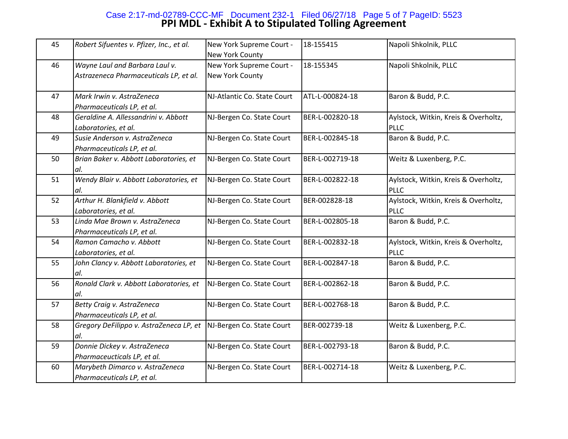# **PPI MDL - Exhibit A to Stipulated Tolling Agreement** Case 2:17-md-02789-CCC-MF Document 232-1 Filed 06/27/18 Page 5 of 7 PageID: 5523

| 45 | Robert Sifuentes v. Pfizer, Inc., et al.                                 | New York Supreme Court -<br>New York County | 18-155415       | Napoli Shkolnik, PLLC                               |
|----|--------------------------------------------------------------------------|---------------------------------------------|-----------------|-----------------------------------------------------|
| 46 | Wayne Laul and Barbara Laul v.<br>Astrazeneca Pharmaceuticals LP, et al. | New York Supreme Court -<br>New York County | 18-155345       | Napoli Shkolnik, PLLC                               |
| 47 | Mark Irwin v. AstraZeneca<br>Pharmaceuticals LP, et al.                  | NJ-Atlantic Co. State Court                 | ATL-L-000824-18 | Baron & Budd, P.C.                                  |
| 48 | Geraldine A. Allessandrini v. Abbott<br>Laboratories, et al.             | NJ-Bergen Co. State Court                   | BER-L-002820-18 | Aylstock, Witkin, Kreis & Overholtz,<br><b>PLLC</b> |
| 49 | Susie Anderson v. AstraZeneca<br>Pharmaceuticals LP, et al.              | NJ-Bergen Co. State Court                   | BER-L-002845-18 | Baron & Budd, P.C.                                  |
| 50 | Brian Baker v. Abbott Laboratories, et<br>al.                            | NJ-Bergen Co. State Court                   | BER-L-002719-18 | Weitz & Luxenberg, P.C.                             |
| 51 | Wendy Blair v. Abbott Laboratories, et<br>al.                            | NJ-Bergen Co. State Court                   | BER-L-002822-18 | Aylstock, Witkin, Kreis & Overholtz,<br><b>PLLC</b> |
| 52 | Arthur H. Blankfield v. Abbott<br>Laboratories, et al.                   | NJ-Bergen Co. State Court                   | BER-002828-18   | Aylstock, Witkin, Kreis & Overholtz,<br><b>PLLC</b> |
| 53 | Linda Mae Brown v. AstraZeneca<br>Pharmaceuticals LP, et al.             | NJ-Bergen Co. State Court                   | BER-L-002805-18 | Baron & Budd, P.C.                                  |
| 54 | Ramon Camacho v. Abbott<br>Laboratories, et al.                          | NJ-Bergen Co. State Court                   | BER-L-002832-18 | Aylstock, Witkin, Kreis & Overholtz,<br><b>PLLC</b> |
| 55 | John Clancy v. Abbott Laboratories, et<br>al.                            | NJ-Bergen Co. State Court                   | BER-L-002847-18 | Baron & Budd, P.C.                                  |
| 56 | Ronald Clark v. Abbott Laboratories, et<br>al.                           | NJ-Bergen Co. State Court                   | BER-L-002862-18 | Baron & Budd, P.C.                                  |
| 57 | <b>Betty Craig v. AstraZeneca</b><br>Pharmaceuticals LP, et al.          | NJ-Bergen Co. State Court                   | BER-L-002768-18 | Baron & Budd, P.C.                                  |
| 58 | Gregory DeFilippo v. AstraZeneca LP, et<br>al.                           | NJ-Bergen Co. State Court                   | BER-002739-18   | Weitz & Luxenberg, P.C.                             |
| 59 | Donnie Dickey v. AstraZeneca<br>Pharmaceucticals LP, et al.              | NJ-Bergen Co. State Court                   | BER-L-002793-18 | Baron & Budd, P.C.                                  |
| 60 | Marybeth Dimarco v. AstraZeneca<br>Pharmaceuticals LP, et al.            | NJ-Bergen Co. State Court                   | BER-L-002714-18 | Weitz & Luxenberg, P.C.                             |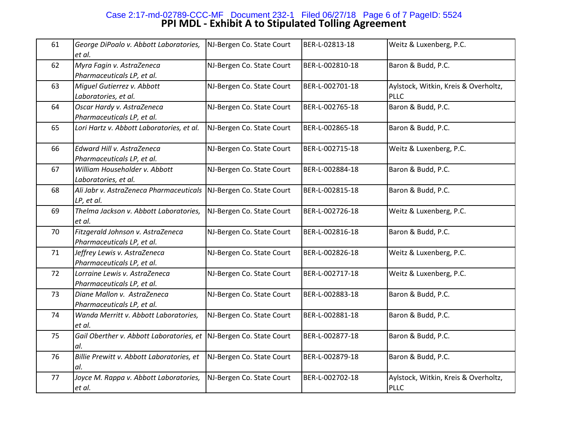# **PPI MDL - Exhibit A to Stipulated Tolling Agreement** Case 2:17-md-02789-CCC-MF Document 232-1 Filed 06/27/18 Page 6 of 7 PageID: 5524

| 61 | George DiPoalo v. Abbott Laboratories,<br>et al.                | NJ-Bergen Co. State Court | BER-L-02813-18  | Weitz & Luxenberg, P.C.                             |
|----|-----------------------------------------------------------------|---------------------------|-----------------|-----------------------------------------------------|
| 62 | Myra Fagin v. AstraZeneca<br>Pharmaceuticals LP, et al.         | NJ-Bergen Co. State Court | BER-L-002810-18 | Baron & Budd, P.C.                                  |
| 63 | Miguel Gutierrez v. Abbott<br>Laboratories, et al.              | NJ-Bergen Co. State Court | BER-L-002701-18 | Aylstock, Witkin, Kreis & Overholtz,<br><b>PLLC</b> |
| 64 | Oscar Hardy v. AstraZeneca<br>Pharmaceuticals LP, et al.        | NJ-Bergen Co. State Court | BER-L-002765-18 | Baron & Budd, P.C.                                  |
| 65 | Lori Hartz v. Abbott Laboratories, et al.                       | NJ-Bergen Co. State Court | BER-L-002865-18 | Baron & Budd, P.C.                                  |
| 66 | Edward Hill v. AstraZeneca<br>Pharmaceuticals LP, et al.        | NJ-Bergen Co. State Court | BER-L-002715-18 | Weitz & Luxenberg, P.C.                             |
| 67 | William Householder v. Abbott<br>Laboratories, et al.           | NJ-Bergen Co. State Court | BER-L-002884-18 | Baron & Budd, P.C.                                  |
| 68 | Ali Jabr v. AstraZeneca Pharmaceuticals<br>LP, et al.           | NJ-Bergen Co. State Court | BER-L-002815-18 | Baron & Budd, P.C.                                  |
| 69 | Thelma Jackson v. Abbott Laboratories,<br>et al.                | NJ-Bergen Co. State Court | BER-L-002726-18 | Weitz & Luxenberg, P.C.                             |
| 70 | Fitzgerald Johnson v. AstraZeneca<br>Pharmaceuticals LP, et al. | NJ-Bergen Co. State Court | BER-L-002816-18 | Baron & Budd, P.C.                                  |
| 71 | Jeffrey Lewis v. AstraZeneca<br>Pharmaceuticals LP, et al.      | NJ-Bergen Co. State Court | BER-L-002826-18 | Weitz & Luxenberg, P.C.                             |
| 72 | Lorraine Lewis v. AstraZeneca<br>Pharmaceuticals LP, et al.     | NJ-Bergen Co. State Court | BER-L-002717-18 | Weitz & Luxenberg, P.C.                             |
| 73 | Diane Mallon v. AstraZeneca<br>Pharmaceuticals LP, et al.       | NJ-Bergen Co. State Court | BER-L-002883-18 | Baron & Budd, P.C.                                  |
| 74 | Wanda Merritt v. Abbott Laboratories,<br>et al.                 | NJ-Bergen Co. State Court | BER-L-002881-18 | Baron & Budd, P.C.                                  |
| 75 | Gail Oberther v. Abbott Laboratories, et<br>al.                 | NJ-Bergen Co. State Court | BER-L-002877-18 | Baron & Budd, P.C.                                  |
| 76 | Billie Prewitt v. Abbott Laboratories, et<br>al.                | NJ-Bergen Co. State Court | BER-L-002879-18 | Baron & Budd, P.C.                                  |
| 77 | Joyce M. Rappa v. Abbott Laboratories,<br>et al.                | NJ-Bergen Co. State Court | BER-L-002702-18 | Aylstock, Witkin, Kreis & Overholtz,<br><b>PLLC</b> |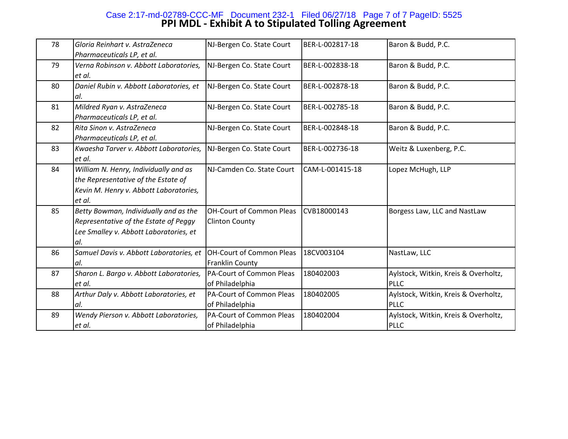# **PPI MDL - Exhibit A to Stipulated Tolling Agreement** Case 2:17-md-02789-CCC-MF Document 232-1 Filed 06/27/18 Page 7 of 7 PageID: 5525

| 78 | Gloria Reinhart v. AstraZeneca          | NJ-Bergen Co. State Court       | BER-L-002817-18 | Baron & Budd, P.C.                   |
|----|-----------------------------------------|---------------------------------|-----------------|--------------------------------------|
|    | Pharmaceuticals LP, et al.              |                                 |                 |                                      |
| 79 | Verna Robinson v. Abbott Laboratories,  | NJ-Bergen Co. State Court       | BER-L-002838-18 | Baron & Budd, P.C.                   |
|    | et al.                                  |                                 |                 |                                      |
| 80 | Daniel Rubin v. Abbott Laboratories, et | NJ-Bergen Co. State Court       | BER-L-002878-18 | Baron & Budd, P.C.                   |
|    | al.                                     |                                 |                 |                                      |
| 81 | Mildred Ryan v. AstraZeneca             | NJ-Bergen Co. State Court       | BER-L-002785-18 | Baron & Budd, P.C.                   |
|    | Pharmaceuticals LP, et al.              |                                 |                 |                                      |
| 82 | Rita Sinon v. AstraZeneca               | NJ-Bergen Co. State Court       | BER-L-002848-18 | Baron & Budd, P.C.                   |
|    | Pharmaceuticals LP, et al.              |                                 |                 |                                      |
| 83 | Kwaesha Tarver v. Abbott Laboratories,  | NJ-Bergen Co. State Court       | BER-L-002736-18 | Weitz & Luxenberg, P.C.              |
|    | et al.                                  |                                 |                 |                                      |
| 84 | William N. Henry, Individually and as   | NJ-Camden Co. State Court       | CAM-L-001415-18 | Lopez McHugh, LLP                    |
|    | the Representative of the Estate of     |                                 |                 |                                      |
|    | Kevin M. Henry v. Abbott Laboratories,  |                                 |                 |                                      |
|    | et al.                                  |                                 |                 |                                      |
| 85 | Betty Bowman, Individually and as the   | <b>OH-Court of Common Pleas</b> | CVB18000143     | Borgess Law, LLC and NastLaw         |
|    | Representative of the Estate of Peggy   | <b>Clinton County</b>           |                 |                                      |
|    | Lee Smalley v. Abbott Laboratories, et  |                                 |                 |                                      |
|    | al.                                     |                                 |                 |                                      |
| 86 | Samuel Davis v. Abbott Laboratories, et | OH-Court of Common Pleas        | 18CV003104      | NastLaw, LLC                         |
|    | al.                                     | Franklin County                 |                 |                                      |
| 87 | Sharon L. Bargo v. Abbott Laboratories, | PA-Court of Common Pleas        | 180402003       | Aylstock, Witkin, Kreis & Overholtz, |
|    | et al.                                  | of Philadelphia                 |                 | <b>PLLC</b>                          |
| 88 | Arthur Daly v. Abbott Laboratories, et  | PA-Court of Common Pleas        | 180402005       | Aylstock, Witkin, Kreis & Overholtz, |
|    | al.                                     | of Philadelphia                 |                 | <b>PLLC</b>                          |
| 89 | Wendy Pierson v. Abbott Laboratories,   | PA-Court of Common Pleas        | 180402004       | Aylstock, Witkin, Kreis & Overholtz, |
|    | et al.                                  | of Philadelphia                 |                 | <b>PLLC</b>                          |